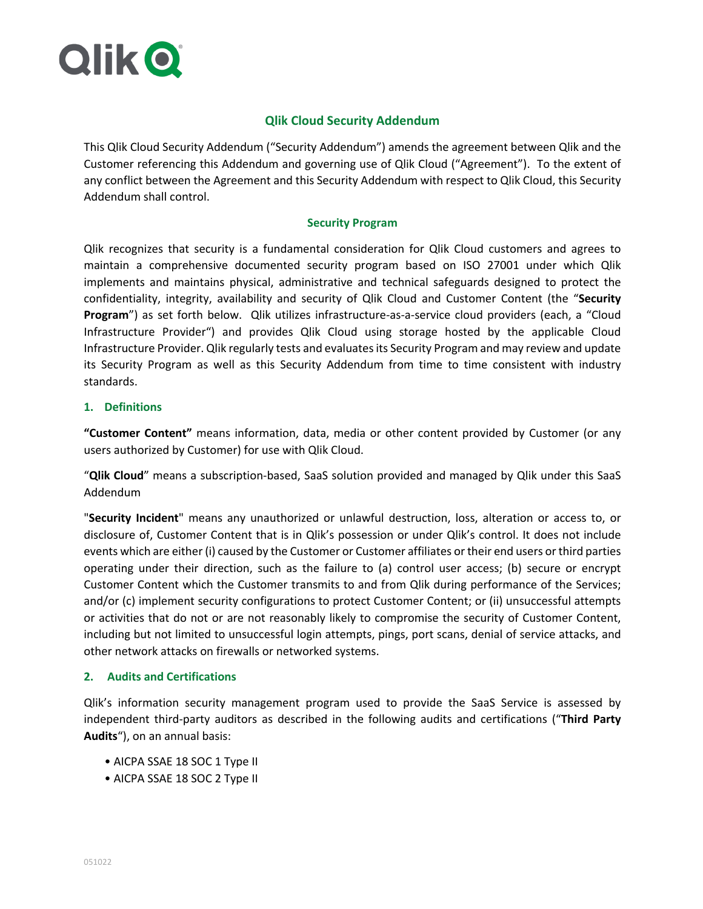

# **Qlik Cloud Security Addendum**

This Qlik Cloud Security Addendum ("Security Addendum") amends the agreement between Qlik and the Customer referencing this Addendum and governing use of Qlik Cloud ("Agreement"). To the extent of any conflict between the Agreement and this Security Addendum with respect to Qlik Cloud, this Security Addendum shall control.

#### **Security Program**

Qlik recognizes that security is a fundamental consideration for Qlik Cloud customers and agrees to maintain a comprehensive documented security program based on ISO 27001 under which Qlik implements and maintains physical, administrative and technical safeguards designed to protect the confidentiality, integrity, availability and security of Qlik Cloud and Customer Content (the "**Security Program**") as set forth below. Qlik utilizes infrastructure-as-a-service cloud providers (each, a "Cloud Infrastructure Provider") and provides Qlik Cloud using storage hosted by the applicable Cloud Infrastructure Provider. Qlik regularly tests and evaluates its Security Program and may review and update its Security Program as well as this Security Addendum from time to time consistent with industry standards.

#### **1. Definitions**

**"Customer Content"** means information, data, media or other content provided by Customer (or any users authorized by Customer) for use with Qlik Cloud.

"**Qlik Cloud**" means a subscription-based, SaaS solution provided and managed by Qlik under this SaaS Addendum

"**Security Incident**" means any unauthorized or unlawful destruction, loss, alteration or access to, or disclosure of, Customer Content that is in Qlik's possession or under Qlik's control. It does not include events which are either (i) caused by the Customer or Customer affiliates or their end users or third parties operating under their direction, such as the failure to (a) control user access; (b) secure or encrypt Customer Content which the Customer transmits to and from Qlik during performance of the Services; and/or (c) implement security configurations to protect Customer Content; or (ii) unsuccessful attempts or activities that do not or are not reasonably likely to compromise the security of Customer Content, including but not limited to unsuccessful login attempts, pings, port scans, denial of service attacks, and other network attacks on firewalls or networked systems.

### **2. Audits and Certifications**

Qlik's information security management program used to provide the SaaS Service is assessed by independent third-party auditors as described in the following audits and certifications ("**Third Party Audits**"), on an annual basis:

- AICPA SSAE 18 SOC 1 Type II
- AICPA SSAE 18 SOC 2 Type II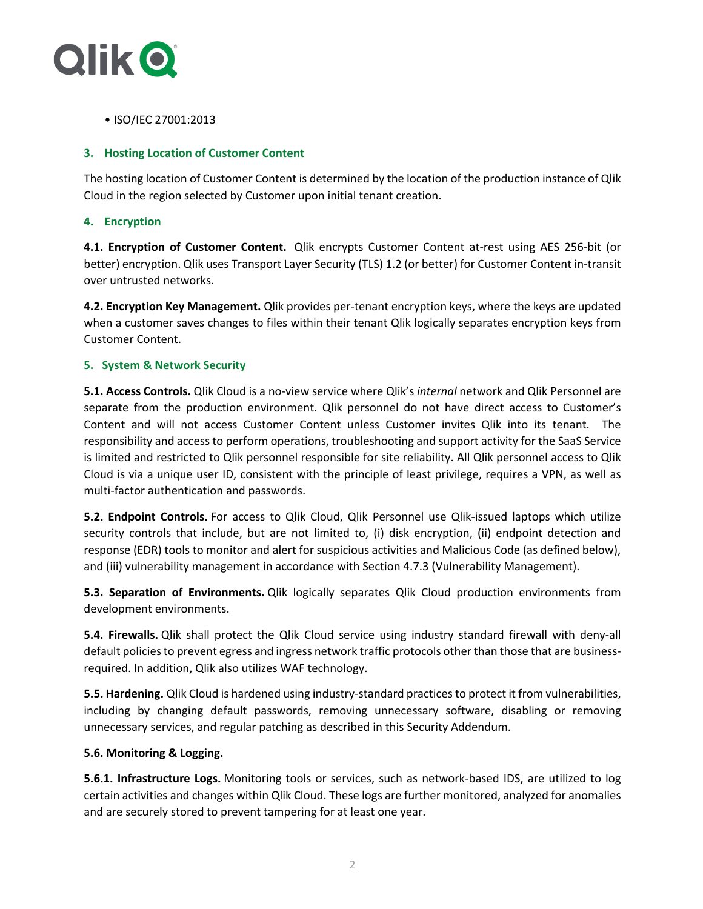

• ISO/IEC 27001:2013

## **3. Hosting Location of Customer Content**

The hosting location of Customer Content is determined by the location of the production instance of Qlik Cloud in the region selected by Customer upon initial tenant creation.

# **4. Encryption**

**4.1. Encryption of Customer Content.** Qlik encrypts Customer Content at-rest using AES 256-bit (or better) encryption. Qlik uses Transport Layer Security (TLS) 1.2 (or better) for Customer Content in-transit over untrusted networks.

**4.2. Encryption Key Management.** Qlik provides per-tenant encryption keys, where the keys are updated when a customer saves changes to files within their tenant Qlik logically separates encryption keys from Customer Content.

### **5. System & Network Security**

**5.1. Access Controls.** Qlik Cloud is a no-view service where Qlik's *internal* network and Qlik Personnel are separate from the production environment. Qlik personnel do not have direct access to Customer's Content and will not access Customer Content unless Customer invites Qlik into its tenant. The responsibility and access to perform operations, troubleshooting and support activity for the SaaS Service is limited and restricted to Qlik personnel responsible for site reliability. All Qlik personnel access to Qlik Cloud is via a unique user ID, consistent with the principle of least privilege, requires a VPN, as well as multi-factor authentication and passwords.

**5.2. Endpoint Controls.** For access to Qlik Cloud, Qlik Personnel use Qlik-issued laptops which utilize security controls that include, but are not limited to, (i) disk encryption, (ii) endpoint detection and response (EDR) tools to monitor and alert for suspicious activities and Malicious Code (as defined below), and (iii) vulnerability management in accordance with Section 4.7.3 (Vulnerability Management).

**5.3. Separation of Environments.** Qlik logically separates Qlik Cloud production environments from development environments.

**5.4. Firewalls.** Qlik shall protect the Qlik Cloud service using industry standard firewall with deny-all default policies to prevent egress and ingress network traffic protocols other than those that are businessrequired. In addition, Qlik also utilizes WAF technology.

**5.5. Hardening.** Qlik Cloud is hardened using industry-standard practices to protect it from vulnerabilities, including by changing default passwords, removing unnecessary software, disabling or removing unnecessary services, and regular patching as described in this Security Addendum.

### **5.6. Monitoring & Logging.**

**5.6.1. Infrastructure Logs.** Monitoring tools or services, such as network-based IDS, are utilized to log certain activities and changes within Qlik Cloud. These logs are further monitored, analyzed for anomalies and are securely stored to prevent tampering for at least one year.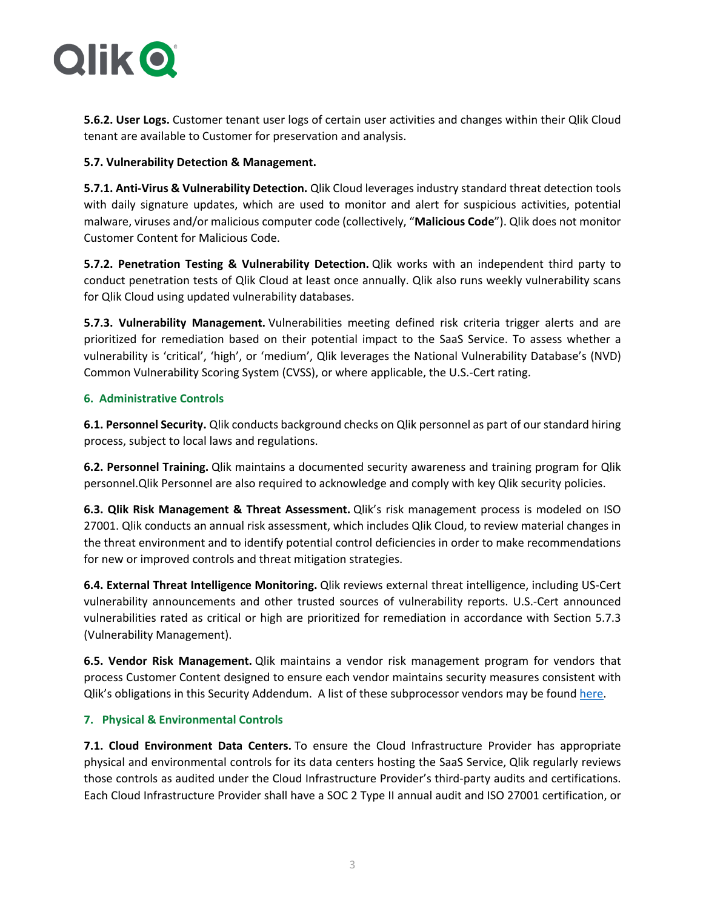

**5.6.2. User Logs.** Customer tenant user logs of certain user activities and changes within their Qlik Cloud tenant are available to Customer for preservation and analysis.

## **5.7. Vulnerability Detection & Management.**

**5.7.1. Anti-Virus & Vulnerability Detection.** Qlik Cloud leverages industry standard threat detection tools with daily signature updates, which are used to monitor and alert for suspicious activities, potential malware, viruses and/or malicious computer code (collectively, "**Malicious Code**"). Qlik does not monitor Customer Content for Malicious Code.

**5.7.2. Penetration Testing & Vulnerability Detection.** Qlik works with an independent third party to conduct penetration tests of Qlik Cloud at least once annually. Qlik also runs weekly vulnerability scans for Qlik Cloud using updated vulnerability databases.

**5.7.3. Vulnerability Management.** Vulnerabilities meeting defined risk criteria trigger alerts and are prioritized for remediation based on their potential impact to the SaaS Service. To assess whether a vulnerability is 'critical', 'high', or 'medium', Qlik leverages the National Vulnerability Database's (NVD) Common Vulnerability Scoring System (CVSS), or where applicable, the U.S.-Cert rating.

# **6. Administrative Controls**

**6.1. Personnel Security.** Qlik conducts background checks on Qlik personnel as part of our standard hiring process, subject to local laws and regulations.

**6.2. Personnel Training.** Qlik maintains a documented security awareness and training program for Qlik personnel.Qlik Personnel are also required to acknowledge and comply with key Qlik security policies.

**6.3. Qlik Risk Management & Threat Assessment.** Qlik's risk management process is modeled on ISO 27001. Qlik conducts an annual risk assessment, which includes Qlik Cloud, to review material changes in the threat environment and to identify potential control deficiencies in order to make recommendations for new or improved controls and threat mitigation strategies.

**6.4. External Threat Intelligence Monitoring.** Qlik reviews external threat intelligence, including US-Cert vulnerability announcements and other trusted sources of vulnerability reports. U.S.-Cert announced vulnerabilities rated as critical or high are prioritized for remediation in accordance with Section 5.7.3 (Vulnerability Management).

**6.5. Vendor Risk Management.** Qlik maintains a vendor risk management program for vendors that process Customer Content designed to ensure each vendor maintains security measures consistent with Qlik's obligations in this Security Addendum. A list of these subprocessor vendors may be found here.

# **7. Physical & Environmental Controls**

**7.1. Cloud Environment Data Centers.** To ensure the Cloud Infrastructure Provider has appropriate physical and environmental controls for its data centers hosting the SaaS Service, Qlik regularly reviews those controls as audited under the Cloud Infrastructure Provider's third-party audits and certifications. Each Cloud Infrastructure Provider shall have a SOC 2 Type II annual audit and ISO 27001 certification, or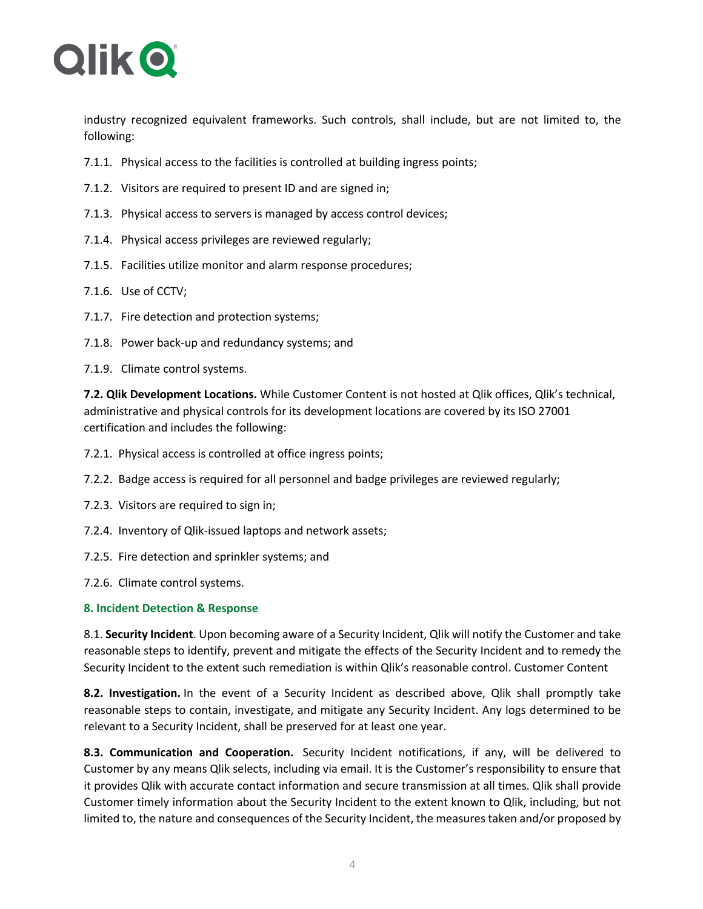

industry recognized equivalent frameworks. Such controls, shall include, but are not limited to, the following:

- 7.1.1. Physical access to the facilities is controlled at building ingress points;
- 7.1.2. Visitors are required to present ID and are signed in;
- 7.1.3. Physical access to servers is managed by access control devices;
- 7.1.4. Physical access privileges are reviewed regularly;
- 7.1.5. Facilities utilize monitor and alarm response procedures;
- 7.1.6. Use of CCTV;
- 7.1.7. Fire detection and protection systems;
- 7.1.8. Power back-up and redundancy systems; and
- 7.1.9. Climate control systems.

**7.2. Qlik Development Locations.** While Customer Content is not hosted at Qlik offices, Qlik's technical, administrative and physical controls for its development locations are covered by its ISO 27001 certification and includes the following:

- 7.2.1. Physical access is controlled at office ingress points;
- 7.2.2. Badge access is required for all personnel and badge privileges are reviewed regularly;
- 7.2.3. Visitors are required to sign in;
- 7.2.4. Inventory of Qlik-issued laptops and network assets;
- 7.2.5. Fire detection and sprinkler systems; and
- 7.2.6. Climate control systems.

### **8. Incident Detection & Response**

8.1. **Security Incident**. Upon becoming aware of a Security Incident, Qlik will notify the Customer and take reasonable steps to identify, prevent and mitigate the effects of the Security Incident and to remedy the Security Incident to the extent such remediation is within Qlik's reasonable control. Customer Content

**8.2. Investigation.** In the event of a Security Incident as described above, Qlik shall promptly take reasonable steps to contain, investigate, and mitigate any Security Incident. Any logs determined to be relevant to a Security Incident, shall be preserved for at least one year.

**8.3. Communication and Cooperation.** Security Incident notifications, if any, will be delivered to Customer by any means Qlik selects, including via email. It is the Customer's responsibility to ensure that it provides Qlik with accurate contact information and secure transmission at all times. Qlik shall provide Customer timely information about the Security Incident to the extent known to Qlik, including, but not limited to, the nature and consequences of the Security Incident, the measures taken and/or proposed by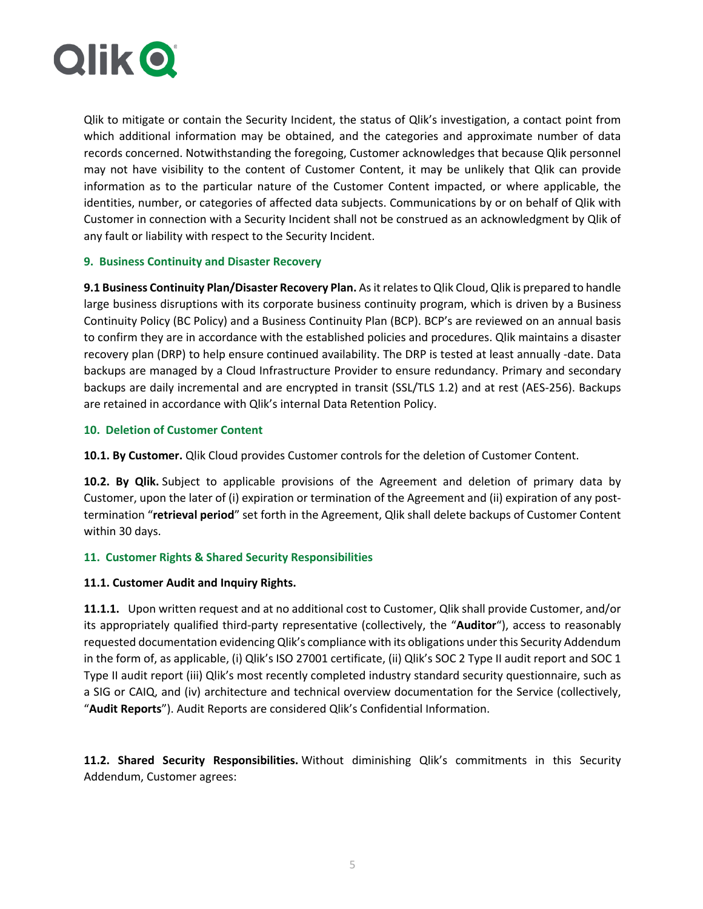

Qlik to mitigate or contain the Security Incident, the status of Qlik's investigation, a contact point from which additional information may be obtained, and the categories and approximate number of data records concerned. Notwithstanding the foregoing, Customer acknowledges that because Qlik personnel may not have visibility to the content of Customer Content, it may be unlikely that Qlik can provide information as to the particular nature of the Customer Content impacted, or where applicable, the identities, number, or categories of affected data subjects. Communications by or on behalf of Qlik with Customer in connection with a Security Incident shall not be construed as an acknowledgment by Qlik of any fault or liability with respect to the Security Incident.

# **9. Business Continuity and Disaster Recovery**

**9.1 Business Continuity Plan/Disaster Recovery Plan.** As it relates to Qlik Cloud, Qlik is prepared to handle large business disruptions with its corporate business continuity program, which is driven by a Business Continuity Policy (BC Policy) and a Business Continuity Plan (BCP). BCP's are reviewed on an annual basis to confirm they are in accordance with the established policies and procedures. Qlik maintains a disaster recovery plan (DRP) to help ensure continued availability. The DRP is tested at least annually -date. Data backups are managed by a Cloud Infrastructure Provider to ensure redundancy. Primary and secondary backups are daily incremental and are encrypted in transit (SSL/TLS 1.2) and at rest (AES-256). Backups are retained in accordance with Qlik's internal Data Retention Policy.

# **10. Deletion of Customer Content**

**10.1. By Customer.** Qlik Cloud provides Customer controls for the deletion of Customer Content.

**10.2. By Qlik.** Subject to applicable provisions of the Agreement and deletion of primary data by Customer, upon the later of (i) expiration or termination of the Agreement and (ii) expiration of any posttermination "**retrieval period**" set forth in the Agreement, Qlik shall delete backups of Customer Content within 30 days.

### **11. Customer Rights & Shared Security Responsibilities**

### **11.1. Customer Audit and Inquiry Rights.**

**11.1.1.** Upon written request and at no additional cost to Customer, Qlik shall provide Customer, and/or its appropriately qualified third-party representative (collectively, the "**Auditor**"), access to reasonably requested documentation evidencing Qlik's compliance with its obligations under this Security Addendum in the form of, as applicable, (i) Qlik's ISO 27001 certificate, (ii) Qlik's SOC 2 Type II audit report and SOC 1 Type II audit report (iii) Qlik's most recently completed industry standard security questionnaire, such as a SIG or CAIQ, and (iv) architecture and technical overview documentation for the Service (collectively, "**Audit Reports**"). Audit Reports are considered Qlik's Confidential Information.

**11.2. Shared Security Responsibilities.** Without diminishing Qlik's commitments in this Security Addendum, Customer agrees: